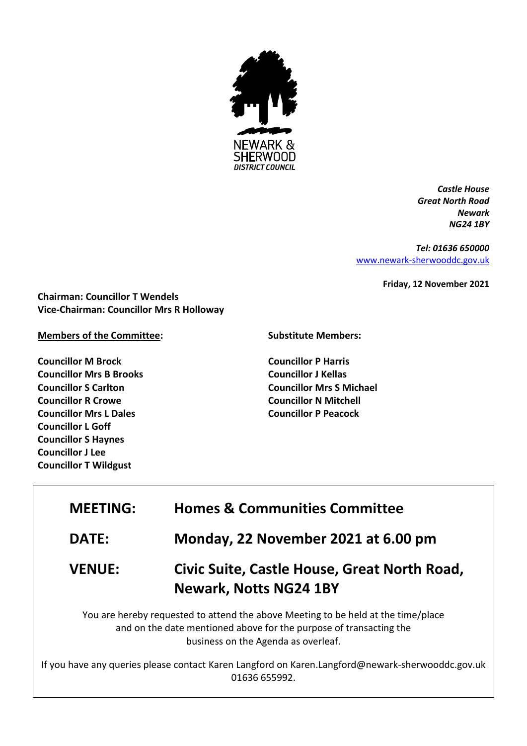

*Castle House Great North Road Newark NG24 1BY*

*Tel: 01636 650000* [www.newark-sherwooddc.gov.uk](http://www.newark-sherwooddc.gov.uk/)

**Friday, 12 November 2021**

**Chairman: Councillor T Wendels Vice-Chairman: Councillor Mrs R Holloway**

## **Members of the Committee:**

**Councillor M Brock Councillor Mrs B Brooks Councillor S Carlton Councillor R Crowe Councillor Mrs L Dales Councillor L Goff Councillor S Haynes Councillor J Lee Councillor T Wildgust**

## **Substitute Members:**

**Councillor P Harris Councillor J Kellas Councillor Mrs S Michael Councillor N Mitchell Councillor P Peacock**

| <b>MEETING:</b> | <b>Homes &amp; Communities Committee</b>                                                                                                                                                       |
|-----------------|------------------------------------------------------------------------------------------------------------------------------------------------------------------------------------------------|
| <b>DATE:</b>    | Monday, 22 November 2021 at 6.00 pm                                                                                                                                                            |
| <b>VENUE:</b>   | Civic Suite, Castle House, Great North Road,<br><b>Newark, Notts NG24 1BY</b>                                                                                                                  |
|                 | You are hereby requested to attend the above Meeting to be held at the time/place<br>and on the date mentioned above for the purpose of transacting the<br>business on the Agenda as overleaf. |
|                 | If you have any queries please contact Karen Langford on Karen.Langford@newark-sherwooddc.gov.uk<br>01636 655992.                                                                              |